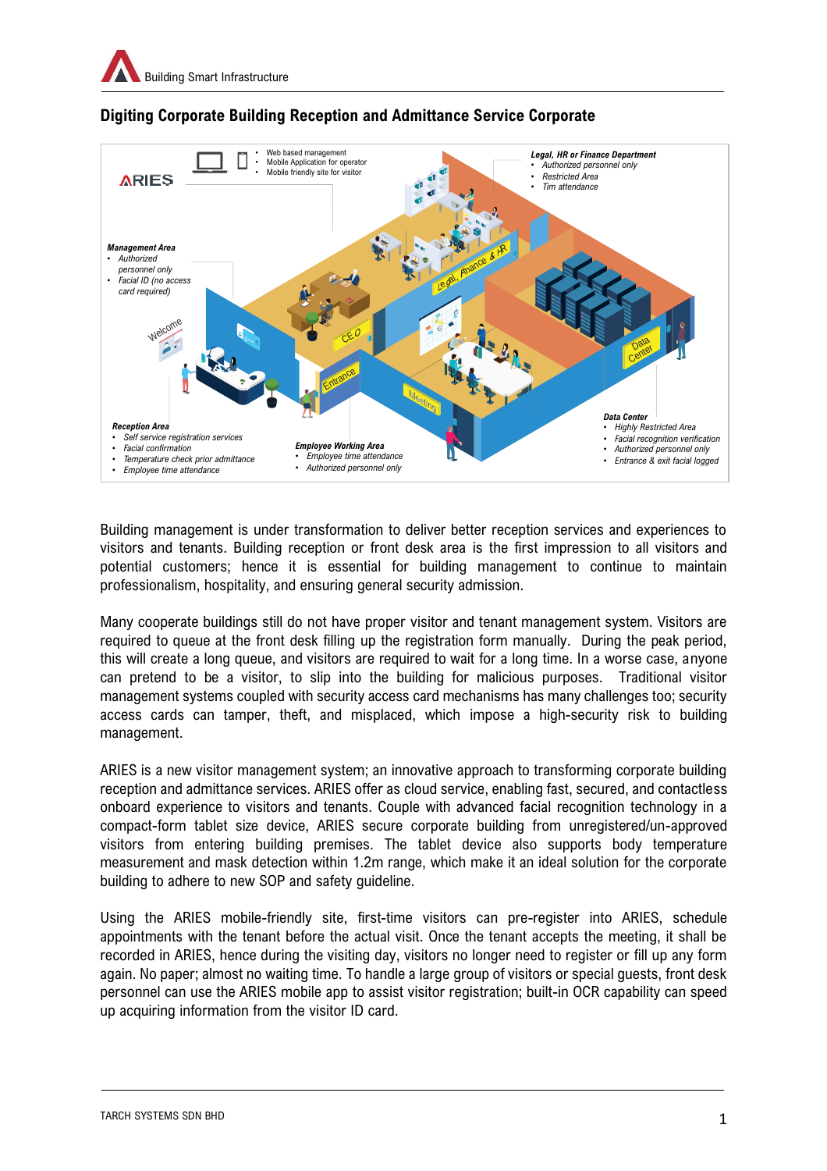

## **Digiting Corporate Building Reception and Admittance Service Corporate**

Building management is under transformation to deliver better reception services and experiences to visitors and tenants. Building reception or front desk area is the first impression to all visitors and potential customers; hence it is essential for building management to continue to maintain professionalism, hospitality, and ensuring general security admission.

Many cooperate buildings still do not have proper visitor and tenant management system. Visitors are required to queue at the front desk filling up the registration form manually. During the peak period, this will create a long queue, and visitors are required to wait for a long time. In a worse case, anyone can pretend to be a visitor, to slip into the building for malicious purposes. Traditional visitor management systems coupled with security access card mechanisms has many challenges too; security access cards can tamper, theft, and misplaced, which impose a high-security risk to building management.

ARIES is a new visitor management system; an innovative approach to transforming corporate building reception and admittance services. ARIES offer as cloud service, enabling fast, secured, and contactless onboard experience to visitors and tenants. Couple with advanced facial recognition technology in a compact-form tablet size device, ARIES secure corporate building from unregistered/un-approved visitors from entering building premises. The tablet device also supports body temperature measurement and mask detection within 1.2m range, which make it an ideal solution for the corporate building to adhere to new SOP and safety guideline.

Using the ARIES mobile-friendly site, first-time visitors can pre-register into ARIES, schedule appointments with the tenant before the actual visit. Once the tenant accepts the meeting, it shall be recorded in ARIES, hence during the visiting day, visitors no longer need to register or fill up any form again. No paper; almost no waiting time. To handle a large group of visitors or special guests, front desk personnel can use the ARIES mobile app to assist visitor registration; built-in OCR capability can speed up acquiring information from the visitor ID card.